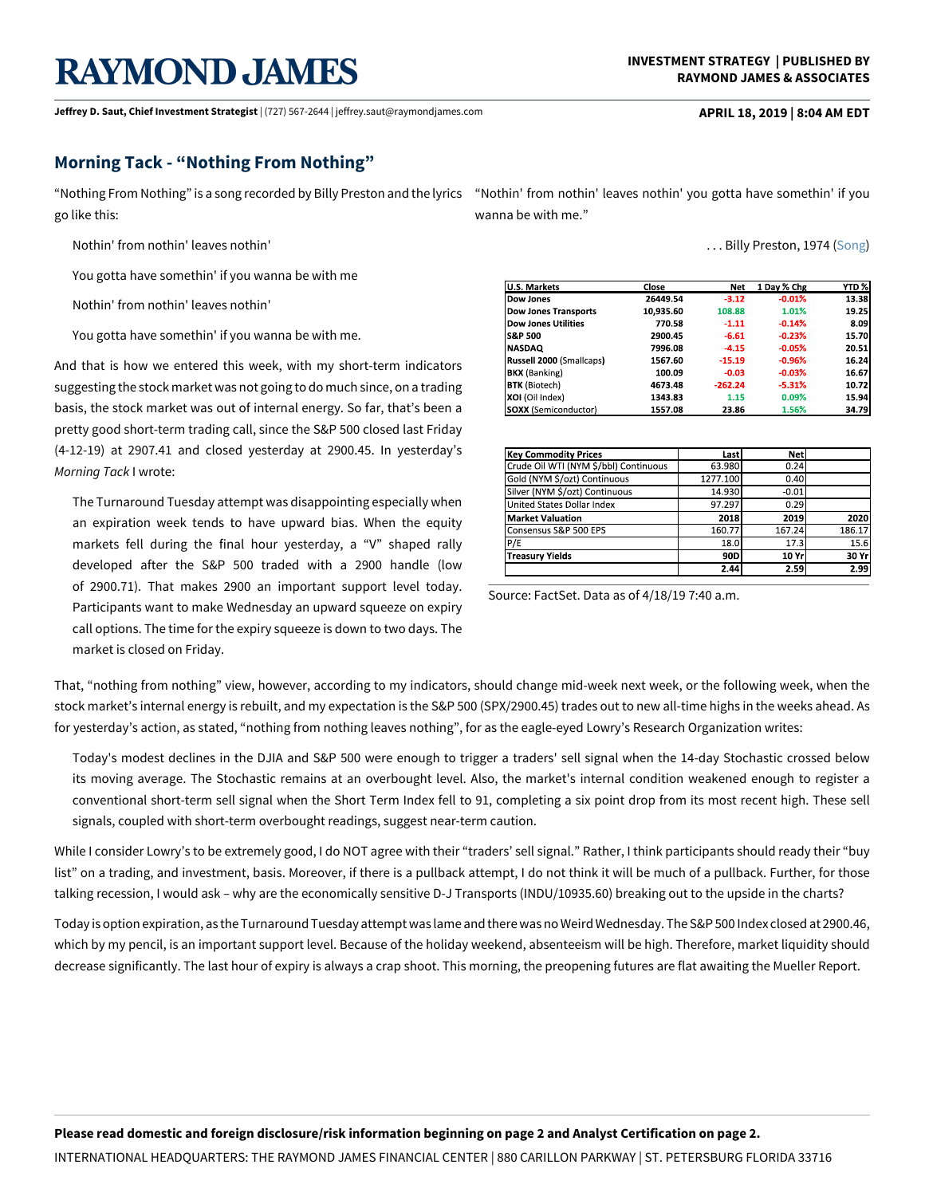# **RAYMOND JAMES**

**Jeffrey D. Saut, Chief Investment Strategist** | (727) 567-2644 | jeffrey.saut@raymondjames.com **APRIL 18, 2019 | 8:04 AM EDT**

# **Morning Tack - "Nothing From Nothing"**

"Nothing From Nothing" is a song recorded by Billy Preston and the lyrics go like this:

- Nothin' from nothin' leaves nothin'
- You gotta have somethin' if you wanna be with me
- Nothin' from nothin' leaves nothin'
- You gotta have somethin' if you wanna be with me.

And that is how we entered this week, with my short-term indicators suggesting the stock market was not going to do much since, on a trading basis, the stock market was out of internal energy. So far, that's been a pretty good short-term trading call, since the S&P 500 closed last Friday (4-12-19) at 2907.41 and closed yesterday at 2900.45. In yesterday's *MorningTack* I wrote:

The Turnaround Tuesday attempt was disappointing especially when an expiration week tends to have upward bias. When the equity markets fell during the final hour yesterday, a "V" shaped rally developed after the S&P 500 traded with a 2900 handle (low of 2900.71). That makes 2900 an important support level today. Participants want to make Wednesday an upward squeeze on expiry call options. The time for the expiry squeeze is down to two days. The market is closed on Friday.

"Nothin' from nothin' leaves nothin' you gotta have somethin' if you wanna be with me."

. . . Billy Preston, 1974 [\(Song](https://www.youtube.com/watch?v=8HqyEHqEYho&list=RD8HqyEHqEYho&start_radio=1))

| <b>U.S. Markets</b>             | Close     | <b>Net</b> | 1 Day % Chg | YTD <sub>%</sub> |
|---------------------------------|-----------|------------|-------------|------------------|
| Dow Jones                       | 26449.54  | $-3.12$    | $-0.01%$    | 13.38            |
| <b>Dow Jones Transports</b>     | 10.935.60 | 108.88     | 1.01%       | 19.25            |
| <b>Dow Jones Utilities</b>      | 770.58    | $-1.11$    | $-0.14%$    | 8.09             |
| IS&P 500                        | 2900.45   | $-6.61$    | $-0.23%$    | 15.70            |
| <b>NASDAQ</b>                   | 7996.08   | $-4.15$    | $-0.05%$    | 20.51            |
| <b>Russell 2000 (Smallcaps)</b> | 1567.60   | $-15.19$   | $-0.96%$    | 16.24            |
| <b>BKX</b> (Banking)            | 100.09    | $-0.03$    | $-0.03%$    | 16.67            |
| <b>BTK</b> (Biotech)            | 4673.48   | $-262.24$  | $-5.31%$    | 10.72            |
| XOI (Oil Index)                 | 1343.83   | 1.15       | 0.09%       | 15.94            |
| <b>SOXX</b> (Semiconductor)     | 1557.08   | 23.86      | 1.56%       | 34.79            |

| <b>Key Commodity Prices</b>           | Last            | <b>Net</b> |        |
|---------------------------------------|-----------------|------------|--------|
| Crude Oil WTI (NYM \$/bbl) Continuous | 63.980          | 0.24       |        |
| Gold (NYM \$/ozt) Continuous          | 1277.100        | 0.40       |        |
| Silver (NYM \$/ozt) Continuous        | 14.930          | $-0.01$    |        |
| United States Dollar Index            | 97.297          | 0.29       |        |
| <b>Market Valuation</b>               | 2018            | 2019       | 2020   |
| Consensus S&P 500 EPS                 | 160.77          | 167.24     | 186.17 |
| P/E                                   | 18.0            | 17.3       | 15.6   |
| <b>Treasury Yields</b>                | 90 <sub>D</sub> | 10 Yr      | 30 Yr  |
|                                       | 2.44            | 2.59       | 2.99   |

Source: FactSet. Data as of 4/18/19 7:40 a.m.

That, "nothing from nothing" view, however, according to my indicators, should change mid-week next week, or the following week, when the stock market's internal energy is rebuilt, and my expectation is the S&P 500 (SPX/2900.45) trades out to new all-time highs in the weeks ahead. As for yesterday's action, as stated, "nothing from nothing leaves nothing", for as the eagle-eyed Lowry's Research Organization writes:

Today's modest declines in the DJIA and S&P 500 were enough to trigger a traders' sell signal when the 14-day Stochastic crossed below its moving average. The Stochastic remains at an overbought level. Also, the market's internal condition weakened enough to register a conventional short-term sell signal when the Short Term Index fell to 91, completing a six point drop from its most recent high. These sell signals, coupled with short-term overbought readings, suggest near-term caution.

While I consider Lowry's to be extremely good, I do NOT agree with their "traders' sell signal." Rather, I think participants should ready their "buy list" on a trading, and investment, basis. Moreover, if there is a pullback attempt, I do not think it will be much of a pullback. Further, for those talking recession, I would ask – why are the economically sensitive D-J Transports (INDU/10935.60) breaking out to the upside in the charts?

Today is option expiration, as the Turnaround Tuesday attempt was lame and there was no Weird Wednesday. The S&P 500 Index closed at 2900.46, which by my pencil, is an important support level. Because of the holiday weekend, absenteeism will be high. Therefore, market liquidity should decrease significantly. The last hour of expiry is always a crap shoot. This morning, the preopening futures are flat awaiting the Mueller Report.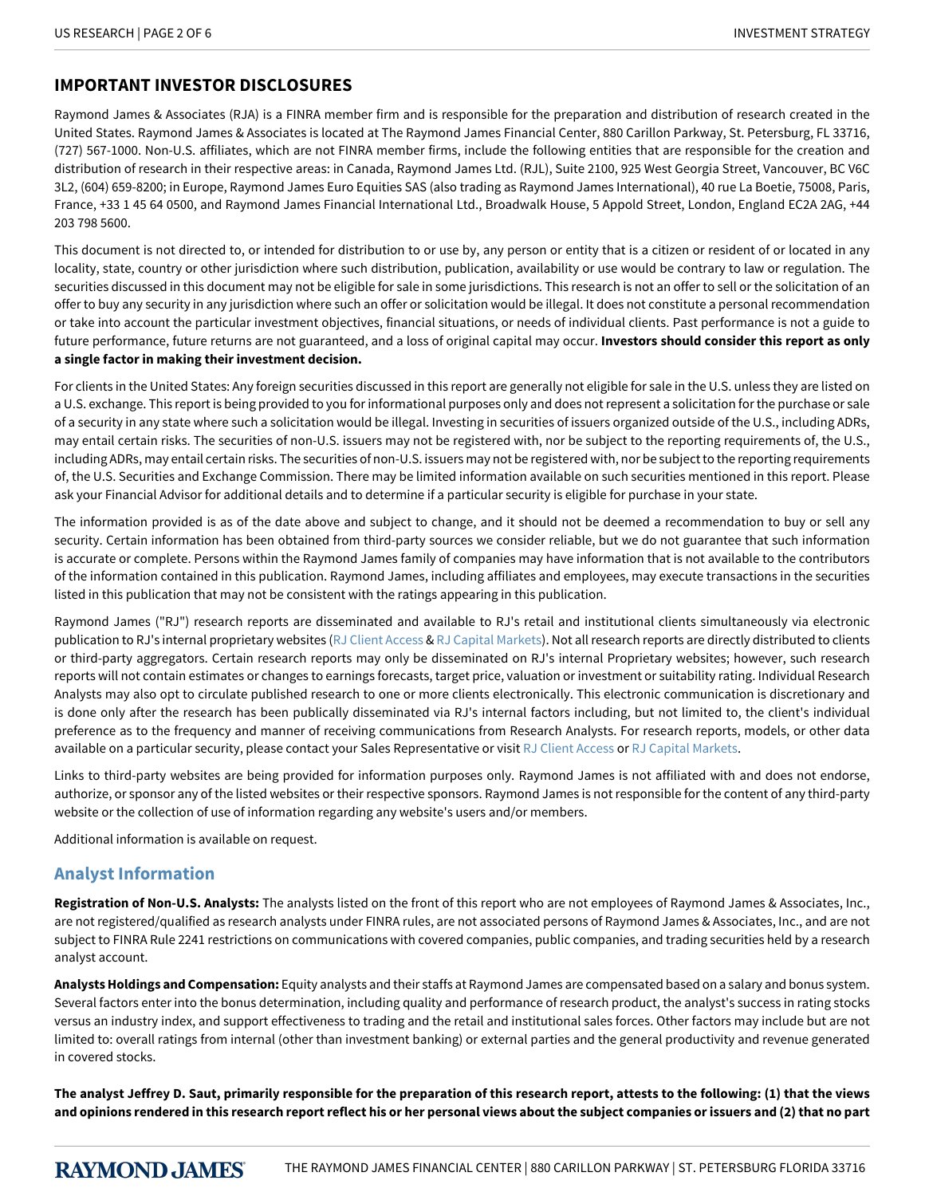# **IMPORTANT INVESTOR DISCLOSURES**

Raymond James & Associates (RJA) is a FINRA member firm and is responsible for the preparation and distribution of research created in the United States. Raymond James & Associates is located at The Raymond James Financial Center, 880 Carillon Parkway, St. Petersburg, FL 33716, (727) 567-1000. Non-U.S. affiliates, which are not FINRA member firms, include the following entities that are responsible for the creation and distribution of research in their respective areas: in Canada, Raymond James Ltd. (RJL), Suite 2100, 925 West Georgia Street, Vancouver, BC V6C 3L2, (604) 659-8200; in Europe, Raymond James Euro Equities SAS (also trading as Raymond James International), 40 rue La Boetie, 75008, Paris, France, +33 1 45 64 0500, and Raymond James Financial International Ltd., Broadwalk House, 5 Appold Street, London, England EC2A 2AG, +44 203 798 5600.

This document is not directed to, or intended for distribution to or use by, any person or entity that is a citizen or resident of or located in any locality, state, country or other jurisdiction where such distribution, publication, availability or use would be contrary to law or regulation. The securities discussed in this document may not be eligible for sale in some jurisdictions. This research is not an offer to sell or the solicitation of an offer to buy any security in any jurisdiction where such an offer or solicitation would be illegal. It does not constitute a personal recommendation or take into account the particular investment objectives, financial situations, or needs of individual clients. Past performance is not a guide to future performance, future returns are not guaranteed, and a loss of original capital may occur. **Investors should consider this report as only a single factor in making their investment decision.**

For clients in the United States: Any foreign securities discussed in this report are generally not eligible for sale in the U.S. unless they are listed on a U.S. exchange. This report is being provided to you for informational purposes only and does not represent a solicitation for the purchase or sale of a security in any state where such a solicitation would be illegal. Investing in securities of issuers organized outside of the U.S., including ADRs, may entail certain risks. The securities of non-U.S. issuers may not be registered with, nor be subject to the reporting requirements of, the U.S., including ADRs, may entail certain risks. The securities of non-U.S. issuers may not be registered with, nor be subject to the reporting requirements of, the U.S. Securities and Exchange Commission. There may be limited information available on such securities mentioned in this report. Please ask your Financial Advisor for additional details and to determine if a particular security is eligible for purchase in your state.

The information provided is as of the date above and subject to change, and it should not be deemed a recommendation to buy or sell any security. Certain information has been obtained from third-party sources we consider reliable, but we do not guarantee that such information is accurate or complete. Persons within the Raymond James family of companies may have information that is not available to the contributors of the information contained in this publication. Raymond James, including affiliates and employees, may execute transactions in the securities listed in this publication that may not be consistent with the ratings appearing in this publication.

Raymond James ("RJ") research reports are disseminated and available to RJ's retail and institutional clients simultaneously via electronic publication to RJ's internal proprietary websites [\(RJ Client Access](https://clientaccess.rjf.com/) & [RJ Capital Markets\)](http://www.rjcapitalmarkets.com/Logon/Index). Not all research reports are directly distributed to clients or third-party aggregators. Certain research reports may only be disseminated on RJ's internal Proprietary websites; however, such research reports will not contain estimates or changes to earnings forecasts, target price, valuation or investment or suitability rating. Individual Research Analysts may also opt to circulate published research to one or more clients electronically. This electronic communication is discretionary and is done only after the research has been publically disseminated via RJ's internal factors including, but not limited to, the client's individual preference as to the frequency and manner of receiving communications from Research Analysts. For research reports, models, or other data available on a particular security, please contact your Sales Representative or visit [RJ Client Access](https://clientaccess.rjf.com/) or [RJ Capital Markets](http://www.rjcapitalmarkets.com/Logon/Index).

Links to third-party websites are being provided for information purposes only. Raymond James is not affiliated with and does not endorse, authorize, or sponsor any of the listed websites or their respective sponsors. Raymond James is not responsible for the content of any third-party website or the collection of use of information regarding any website's users and/or members.

Additional information is available on request.

# **Analyst Information**

**Registration of Non-U.S. Analysts:** The analysts listed on the front of this report who are not employees of Raymond James & Associates, Inc., are not registered/qualified as research analysts under FINRA rules, are not associated persons of Raymond James & Associates, Inc., and are not subject to FINRA Rule 2241 restrictions on communications with covered companies, public companies, and trading securities held by a research analyst account.

**Analysts Holdings and Compensation:** Equity analysts and their staffs at Raymond James are compensated based on a salary and bonus system. Several factors enter into the bonus determination, including quality and performance of research product, the analyst's success in rating stocks versus an industry index, and support effectiveness to trading and the retail and institutional sales forces. Other factors may include but are not limited to: overall ratings from internal (other than investment banking) or external parties and the general productivity and revenue generated in covered stocks.

**The analyst Jeffrey D. Saut, primarily responsible for the preparation of this research report, attests to the following: (1) that the views and opinions rendered in this research report reflect his or her personal views about the subject companies or issuers and (2) that no part**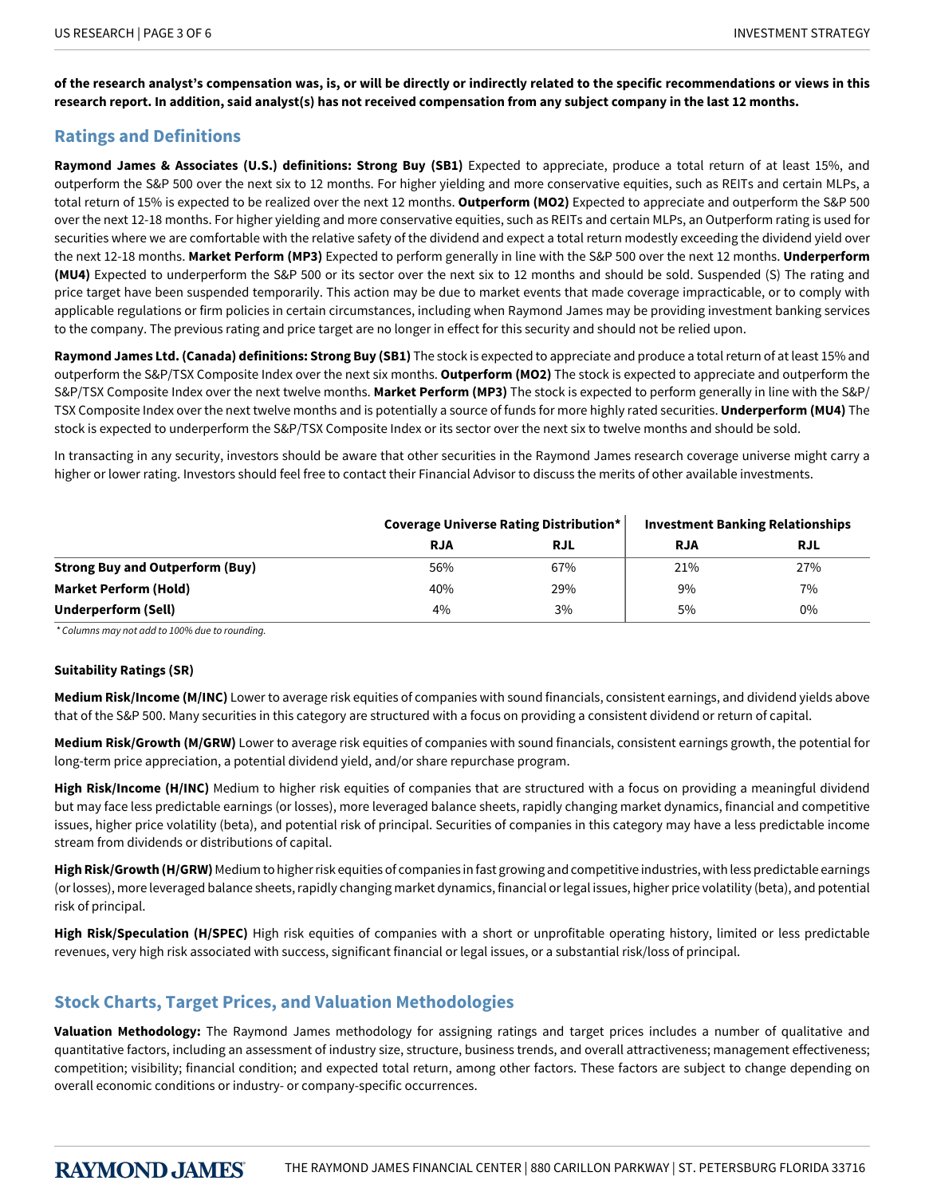**of the research analyst's compensation was, is, or will be directly or indirectly related to the specific recommendations or views in this research report. In addition, said analyst(s) has not received compensation from any subject company in the last 12 months.**

# **Ratings and Definitions**

**Raymond James & Associates (U.S.) definitions: Strong Buy (SB1)** Expected to appreciate, produce a total return of at least 15%, and outperform the S&P 500 over the next six to 12 months. For higher yielding and more conservative equities, such as REITs and certain MLPs, a total return of 15% is expected to be realized over the next 12 months. **Outperform (MO2)** Expected to appreciate and outperform the S&P 500 over the next 12-18 months. For higher yielding and more conservative equities, such as REITs and certain MLPs, an Outperform rating is used for securities where we are comfortable with the relative safety of the dividend and expect a total return modestly exceeding the dividend yield over the next 12-18 months. **Market Perform (MP3)** Expected to perform generally in line with the S&P 500 over the next 12 months. **Underperform (MU4)** Expected to underperform the S&P 500 or its sector over the next six to 12 months and should be sold. Suspended (S) The rating and price target have been suspended temporarily. This action may be due to market events that made coverage impracticable, or to comply with applicable regulations or firm policies in certain circumstances, including when Raymond James may be providing investment banking services to the company. The previous rating and price target are no longer in effect for this security and should not be relied upon.

**Raymond James Ltd. (Canada) definitions: Strong Buy (SB1)** The stock is expected to appreciate and produce a total return of at least 15% and outperform the S&P/TSX Composite Index over the next six months. **Outperform (MO2)** The stock is expected to appreciate and outperform the S&P/TSX Composite Index over the next twelve months. **Market Perform (MP3)** The stock is expected to perform generally in line with the S&P/ TSX Composite Index over the next twelve months and is potentially a source of funds for more highly rated securities. **Underperform (MU4)** The stock is expected to underperform the S&P/TSX Composite Index or its sector over the next six to twelve months and should be sold.

In transacting in any security, investors should be aware that other securities in the Raymond James research coverage universe might carry a higher or lower rating. Investors should feel free to contact their Financial Advisor to discuss the merits of other available investments.

|                                        | Coverage Universe Rating Distribution* |            | <b>Investment Banking Relationships</b> |            |
|----------------------------------------|----------------------------------------|------------|-----------------------------------------|------------|
|                                        | <b>RJA</b>                             | <b>RJL</b> | <b>RJA</b>                              | <b>RJL</b> |
| <b>Strong Buy and Outperform (Buy)</b> | 56%                                    | 67%        | 21%                                     | 27%        |
| <b>Market Perform (Hold)</b>           | 40%                                    | 29%        | 9%                                      | 7%         |
| Underperform (Sell)                    | 4%                                     | 3%         | 5%                                      | 0%         |

*\*Columnsmaynotaddto100%duetorounding.*

## **Suitability Ratings (SR)**

**Medium Risk/Income (M/INC)** Lower to average risk equities of companies with sound financials, consistent earnings, and dividend yields above that of the S&P 500. Many securities in this category are structured with a focus on providing a consistent dividend or return of capital.

**Medium Risk/Growth (M/GRW)** Lower to average risk equities of companies with sound financials, consistent earnings growth, the potential for long-term price appreciation, a potential dividend yield, and/or share repurchase program.

High Risk/Income (H/INC) Medium to higher risk equities of companies that are structured with a focus on providing a meaningful dividend but may face less predictable earnings (or losses), more leveraged balance sheets, rapidly changing market dynamics, financial and competitive issues, higher price volatility (beta), and potential risk of principal. Securities of companies in this category may have a less predictable income stream from dividends or distributions of capital.

**High Risk/Growth (H/GRW)** Medium to higher risk equities of companies in fast growing and competitive industries, with less predictable earnings (or losses), more leveraged balance sheets, rapidly changing market dynamics, financial or legal issues, higher price volatility (beta), and potential risk of principal.

**High Risk/Speculation (H/SPEC)** High risk equities of companies with a short or unprofitable operating history, limited or less predictable revenues, very high risk associated with success, significant financial or legal issues, or a substantial risk/loss of principal.

# **Stock Charts, Target Prices, and Valuation Methodologies**

**Valuation Methodology:** The Raymond James methodology for assigning ratings and target prices includes a number of qualitative and quantitative factors, including an assessment of industry size, structure, business trends, and overall attractiveness; management effectiveness; competition; visibility; financial condition; and expected total return, among other factors. These factors are subject to change depending on overall economic conditions or industry- or company-specific occurrences.

**RAYMOND JAMES** THE RAYMOND JAMES FINANCIAL CENTER | 880 CARILLON PARKWAY | ST. PETERSBURG FLORIDA 33716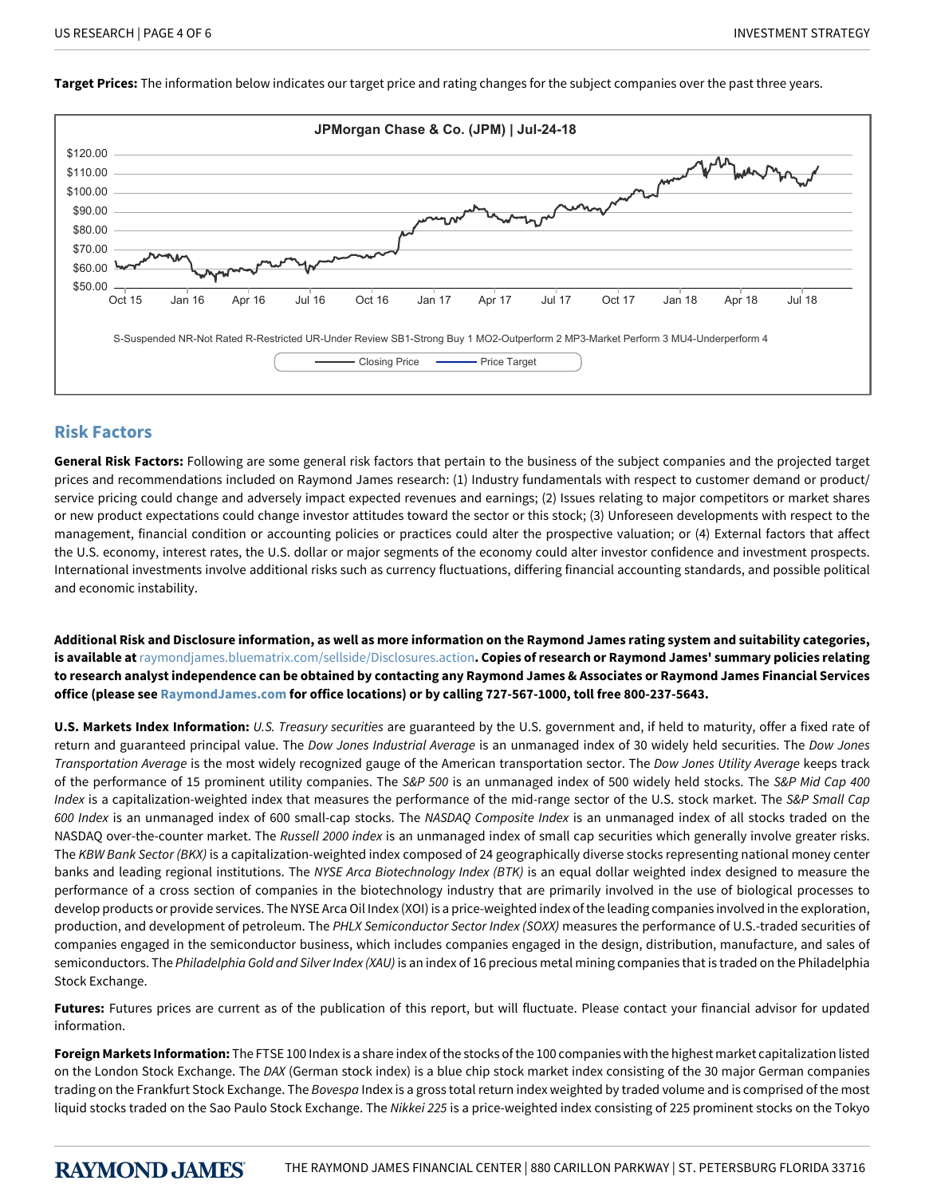

**Target Prices:** The information below indicates our target price and rating changes for the subject companies over the past three years.

## **Risk Factors**

**General Risk Factors:** Following are some general risk factors that pertain to the business of the subject companies and the projected target prices and recommendations included on Raymond James research: (1) Industry fundamentals with respect to customer demand or product/ service pricing could change and adversely impact expected revenues and earnings; (2) Issues relating to major competitors or market shares or new product expectations could change investor attitudes toward the sector or this stock; (3) Unforeseen developments with respect to the management, financial condition or accounting policies or practices could alter the prospective valuation; or (4) External factors that affect the U.S. economy, interest rates, the U.S. dollar or major segments of the economy could alter investor confidence and investment prospects. International investments involve additional risks such as currency fluctuations, differing financial accounting standards, and possible political and economic instability.

**Additional Risk and Disclosure information, as well as more information on the Raymond James rating system and suitability categories, is available at**[raymondjames.bluematrix.com/sellside/Disclosures.action](https://raymondjames.bluematrix.com/sellside/Disclosures.action)**. Copies of research or Raymond James' summary policies relating to research analyst independence can be obtained by contacting any Raymond James & Associates or Raymond James Financial Services office (please see [RaymondJames.com](http://raymondjames.com) for office locations) or by calling 727-567-1000, toll free 800-237-5643.**

**U.S. Markets Index Information:** *U.S.Treasurysecurities* are guaranteed by the U.S. government and, if held to maturity, offer a fixed rate of return and guaranteed principal value. The *Dow Jones Industrial Average* is an unmanaged index of 30 widely held securities. The *Dow Jones Transportation-verage* is the most widely recognized gauge of the American transportation sector. The *DowJonesUtility-verage* keeps track of the performance of 15 prominent utility companies. The *S&P500* is an unmanaged index of 500 widely held stocks. The *S&PMidCap400 Index* is a capitalization-weighted index that measures the performance of the mid-range sector of the U.S. stock market. The *S&P Small Cap* 600 Index is an unmanaged index of 600 small-cap stocks. The *NASDAQ Composite Index* is an unmanaged index of all stocks traded on the NASDAQ over-the-counter market. The *Russell 2000 index* is an unmanaged index of small cap securities which generally involve greater risks. The *KBW Bank Sector (BKX)* is a capitalization-weighted index composed of 24 geographically diverse stocks representing national money center banks and leading regional institutions. The NYSE Arca Biotechnology Index (BTK) is an equal dollar weighted index designed to measure the performance of a cross section of companies in the biotechnology industry that are primarily involved in the use of biological processes to develop products or provide services. The NYSE Arca Oil Index (XOI) is a price-weighted index of the leading companies involved in the exploration, production, and development of petroleum. The PHLX Semiconductor Sector Index (SOXX) measures the performance of U.S.-traded securities of companies engaged in the semiconductor business, which includes companies engaged in the design, distribution, manufacture, and sales of semiconductors. The *Philadelphia Gold and Silver Index (XAU)* is an index of 16 precious metal mining companies that is traded on the Philadelphia Stock Exchange.

**Futures:** Futures prices are current as of the publication of this report, but will fluctuate. Please contact your financial advisor for updated information.

**Foreign Markets Information:** The FTSE 100 Index is a share index of the stocks of the 100 companies with the highest market capitalization listed on the London Stock Exchange. The *DAX* (German stock index) is a blue chip stock market index consisting of the 30 major German companies trading on the Frankfurt Stock Exchange. The *Bovespa* Index is a gross total return index weighted by traded volume and is comprised of the most liquid stocks traded on the Sao Paulo Stock Exchange. The *Nikkei 225* is a price-weighted index consisting of 225 prominent stocks on the Tokyo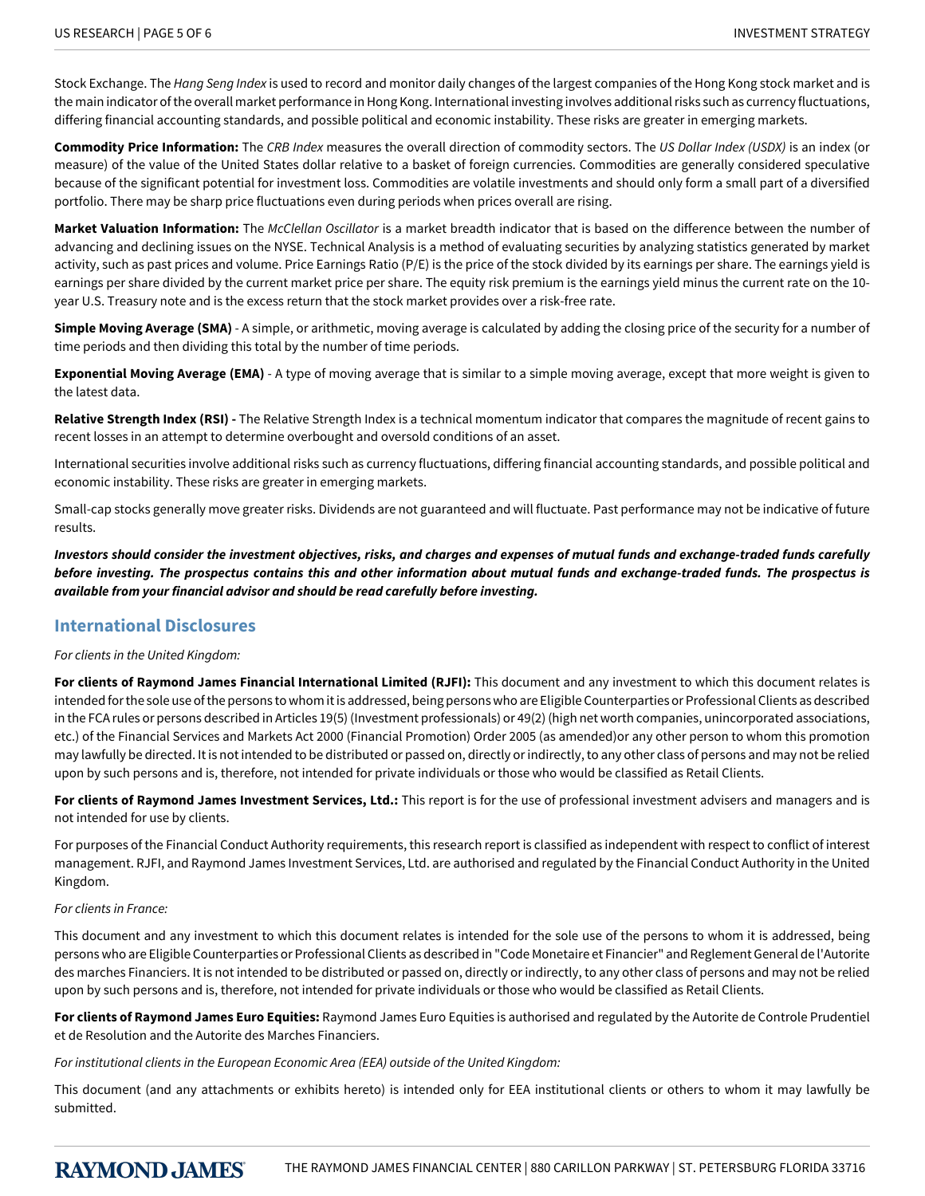Stock Exchange. The *Hang Seng Index* is used to record and monitor daily changes of the largest companies of the Hong Kong stock market and is the main indicator of the overall market performance in Hong Kong. International investing involves additional risks such as currency fluctuations, differing financial accounting standards, and possible political and economic instability. These risks are greater in emerging markets.

**Commodity Price Information:** The *CRB Index* measures the overall direction of commodity sectors. The *US Dollar Index (USDX)* is an index (or measure) of the value of the United States dollar relative to a basket of foreign currencies. Commodities are generally considered speculative because of the significant potential for investment loss. Commodities are volatile investments and should only form a small part of a diversified portfolio. There may be sharp price fluctuations even during periods when prices overall are rising.

Market Valuation Information: The *McClellan Oscillator* is a market breadth indicator that is based on the difference between the number of advancing and declining issues on the NYSE. Technical Analysis is a method of evaluating securities by analyzing statistics generated by market activity, such as past prices and volume. Price Earnings Ratio (P/E) is the price of the stock divided by its earnings per share. The earnings yield is earnings per share divided by the current market price per share. The equity risk premium is the earnings yield minus the current rate on the 10 year U.S. Treasury note and is the excess return that the stock market provides over a risk-free rate.

**Simple Moving Average (SMA)** - A simple, or arithmetic, moving average is calculated by adding the closing price of the security for a number of time periods and then dividing this total by the number of time periods.

**Exponential Moving Average (EMA)** - A type of moving average that is similar to a simple moving average, except that more weight is given to the latest data.

**Relative Strength Index (RSI) -** The Relative Strength Index is a technical momentum indicator that compares the magnitude of recent gains to recent losses in an attempt to determine overbought and oversold conditions of an asset.

International securities involve additional risks such as currency fluctuations, differing financial accounting standards, and possible political and economic instability. These risks are greater in emerging markets.

Small-cap stocks generally move greater risks. Dividends are not guaranteed and will fluctuate. Past performance may not be indicative of future results.

*Investors should consider the investment objectives, risks, and charges and expenses of mutual funds and exchange-traded funds carefully before investing. The prospectus contains this and other information about mutual funds and exchange-traded funds. The prospectus is available from your financial advisor and should be read carefully before investing.*

## **International Disclosures**

## For clients in the United Kingdom:

**For clients of Raymond James Financial International Limited (RJFI):** This document and any investment to which this document relates is intended for the sole use of the persons to whom it is addressed, being persons who are Eligible Counterparties or Professional Clients as described in the FCA rules or persons described in Articles 19(5) (Investment professionals) or 49(2) (high net worth companies, unincorporated associations, etc.) of the Financial Services and Markets Act 2000 (Financial Promotion) Order 2005 (as amended)or any other person to whom this promotion may lawfully be directed. It is not intended to be distributed or passed on, directly or indirectly, to any other class of persons and may not be relied upon by such persons and is, therefore, not intended for private individuals or those who would be classified as Retail Clients.

**For clients of Raymond James Investment Services, Ltd.:** This report is for the use of professional investment advisers and managers and is not intended for use by clients.

For purposes of the Financial Conduct Authority requirements, this research report is classified as independent with respect to conflict of interest management. RJFI, and Raymond James Investment Services, Ltd. are authorised and regulated by the Financial Conduct Authority in the United Kingdom.

## *ForclientsinFrance:*

This document and any investment to which this document relates is intended for the sole use of the persons to whom it is addressed, being persons who are Eligible Counterparties or Professional Clients as described in "Code Monetaire et Financier" and Reglement General de l'Autorite des marches Financiers. It is not intended to be distributed or passed on, directly or indirectly, to any other class of persons and may not be relied upon by such persons and is, therefore, not intended for private individuals or those who would be classified as Retail Clients.

**For clients of Raymond James Euro Equities:** Raymond James Euro Equities is authorised and regulated by the Autorite de Controle Prudentiel et de Resolution and the Autorite des Marches Financiers.

## *ForinstitutionalclientsintheEuropeanEconomic-rea(EE-)outsideoftheUnitedKingdom:*

This document (and any attachments or exhibits hereto) is intended only for EEA institutional clients or others to whom it may lawfully be submitted.